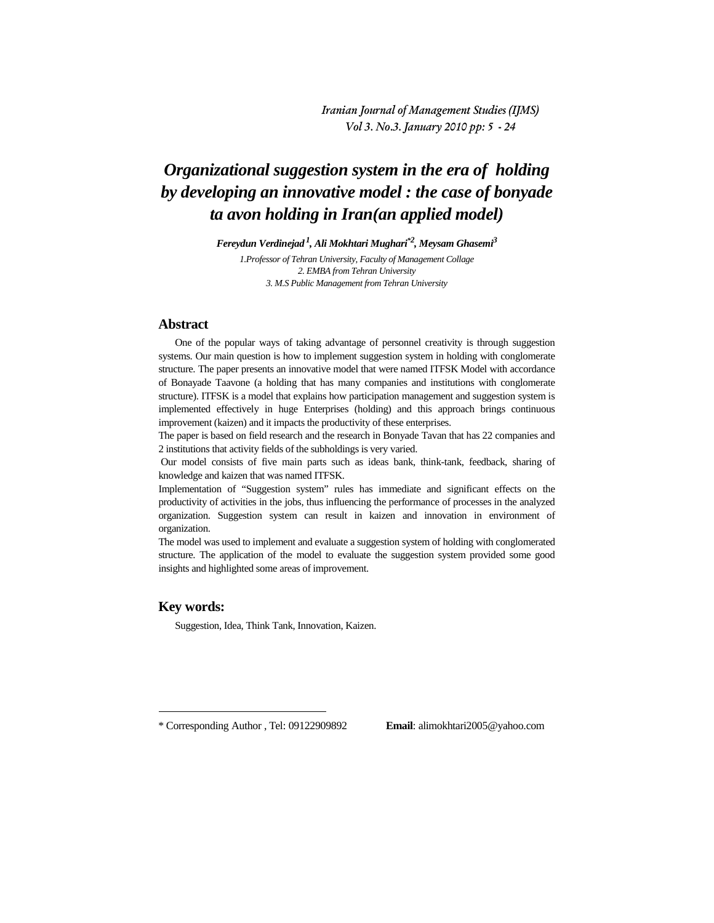Iranian Journal of Management Studies (IJMS) Vol 3. No.3. January 2010 pp: 5 - 24

# *Organizational suggestion system in the era of holding by developing an innovative model : the case of bonyade ta avon holding in Iran(an applied model)*

*Fereydun Verdinejad <sup>1</sup> , Ali Mokhtari Mughari\*<sup>2</sup> , Meysam Ghasemi<sup>3</sup>*

*1.Professor of Tehran University, Faculty of Management Collage 2. EMBA from Tehran University 3. M.S Public Management from Tehran University* 

#### **Abstract**

One of the popular ways of taking advantage of personnel creativity is through suggestion systems. Our main question is how to implement suggestion system in holding with conglomerate structure. The paper presents an innovative model that were named ITFSK Model with accordance of Bonayade Taavone (a holding that has many companies and institutions with conglomerate structure). ITFSK is a model that explains how participation management and suggestion system is implemented effectively in huge Enterprises (holding) and this approach brings continuous improvement (kaizen) and it impacts the productivity of these enterprises.

The paper is based on field research and the research in Bonyade Tavan that has 22 companies and 2 institutions that activity fields of the subholdings is very varied.

 Our model consists of five main parts such as ideas bank, think-tank, feedback, sharing of knowledge and kaizen that was named ITFSK.

Implementation of "Suggestion system" rules has immediate and significant effects on the productivity of activities in the jobs, thus influencing the performance of processes in the analyzed organization. Suggestion system can result in kaizen and innovation in environment of organization.

The model was used to implement and evaluate a suggestion system of holding with conglomerated structure. The application of the model to evaluate the suggestion system provided some good insights and highlighted some areas of improvement.

#### **Key words:**

 $\overline{a}$ 

Suggestion, Idea, Think Tank, Innovation, Kaizen.

<sup>\*</sup> Corresponding Author , Tel: 09122909892 **Email**: alimokhtari2005@yahoo.com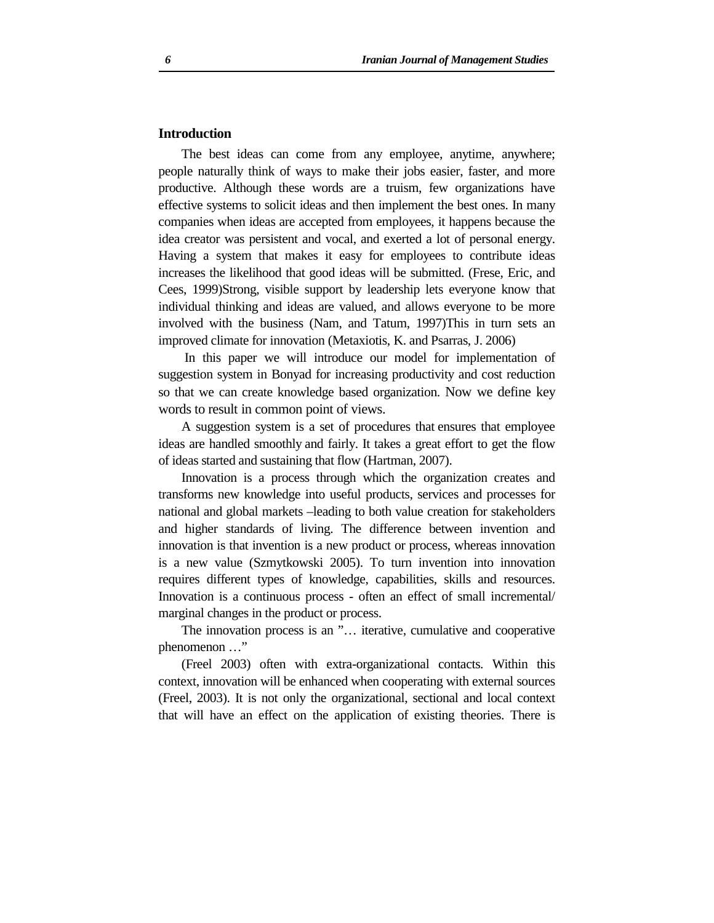# **Introduction**

The best ideas can come from any employee, anytime, anywhere; people naturally think of ways to make their jobs easier, faster, and more productive. Although these words are a truism, few organizations have effective systems to solicit ideas and then implement the best ones. In many companies when ideas are accepted from employees, it happens because the idea creator was persistent and vocal, and exerted a lot of personal energy. Having a system that makes it easy for employees to contribute ideas increases the likelihood that good ideas will be submitted. (Frese, Eric, and Cees, 1999)Strong, visible support by leadership lets everyone know that individual thinking and ideas are valued, and allows everyone to be more involved with the business (Nam, and Tatum, 1997)This in turn sets an improved climate for innovation (Metaxiotis, K. and Psarras, J. 2006)

 In this paper we will introduce our model for implementation of suggestion system in Bonyad for increasing productivity and cost reduction so that we can create knowledge based organization. Now we define key words to result in common point of views.

A suggestion system is a set of procedures that ensures that employee ideas are handled smoothly and fairly. It takes a great effort to get the flow of ideas started and sustaining that flow (Hartman, 2007).

Innovation is a process through which the organization creates and transforms new knowledge into useful products, services and processes for national and global markets –leading to both value creation for stakeholders and higher standards of living. The difference between invention and innovation is that invention is a new product or process, whereas innovation is a new value (Szmytkowski 2005). To turn invention into innovation requires different types of knowledge, capabilities, skills and resources. Innovation is a continuous process - often an effect of small incremental/ marginal changes in the product or process.

The innovation process is an "… iterative, cumulative and cooperative phenomenon …"

(Freel 2003) often with extra-organizational contacts. Within this context, innovation will be enhanced when cooperating with external sources (Freel, 2003). It is not only the organizational, sectional and local context that will have an effect on the application of existing theories. There is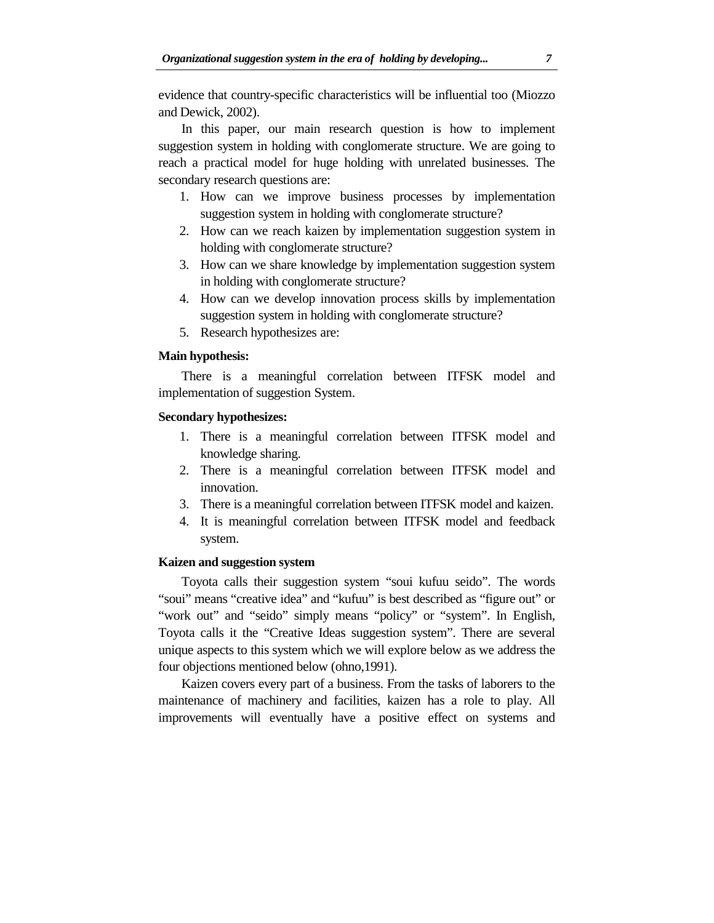evidence that country-specific characteristics will be influential too (Miozzo and Dewick, 2002).

In this paper, our main research question is how to implement suggestion system in holding with conglomerate structure. We are going to reach a practical model for huge holding with unrelated businesses. The secondary research questions are:

- 1. How can we improve business processes by implementation suggestion system in holding with conglomerate structure?
- 2. How can we reach kaizen by implementation suggestion system in holding with conglomerate structure?
- 3. How can we share knowledge by implementation suggestion system in holding with conglomerate structure?
- 4. How can we develop innovation process skills by implementation suggestion system in holding with conglomerate structure?
- 5. Research hypothesizes are:

# **Main hypothesis:**

There is a meaningful correlation between ITFSK model and implementation of suggestion System.

### **Secondary hypothesizes:**

- 1. There is a meaningful correlation between ITFSK model and knowledge sharing.
- 2. There is a meaningful correlation between ITFSK model and innovation.
- 3. There is a meaningful correlation between ITFSK model and kaizen.
- 4. It is meaningful correlation between ITFSK model and feedback system.

# **Kaizen and suggestion system**

Toyota calls their suggestion system "soui kufuu seido". The words "soui" means "creative idea" and "kufuu" is best described as "figure out" or "work out" and "seido" simply means "policy" or "system". In English, Toyota calls it the "Creative Ideas suggestion system". There are several unique aspects to this system which we will explore below as we address the four objections mentioned below (ohno,1991).

Kaizen covers every part of a business. From the tasks of laborers to the maintenance of machinery and facilities, kaizen has a role to play. All improvements will eventually have a positive effect on systems and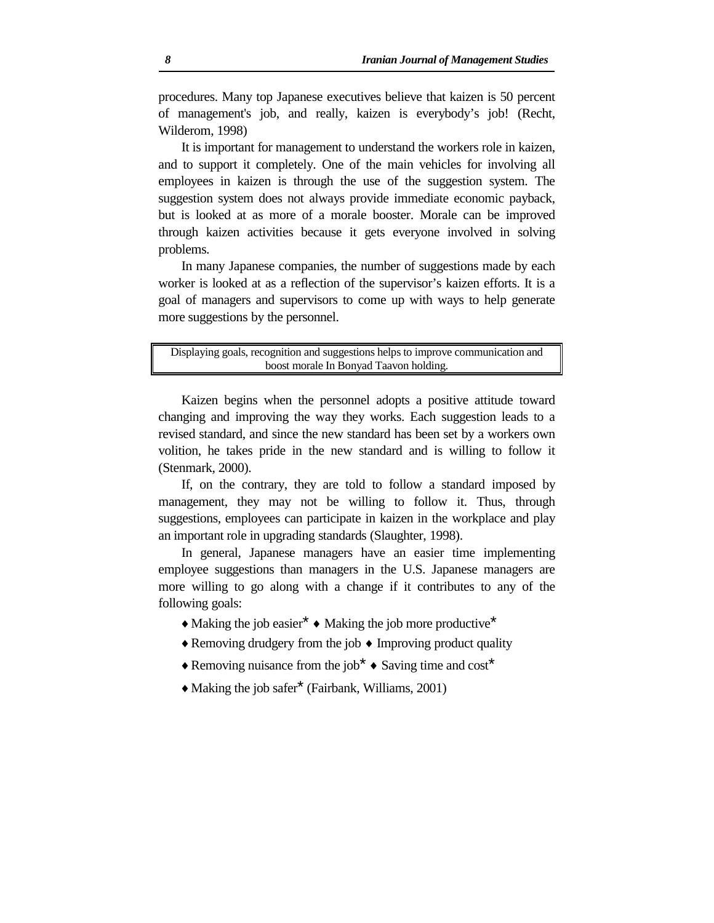procedures. Many top Japanese executives believe that kaizen is 50 percent of management's job, and really, kaizen is everybody's job! (Recht, Wilderom, 1998)

It is important for management to understand the workers role in kaizen, and to support it completely. One of the main vehicles for involving all employees in kaizen is through the use of the suggestion system. The suggestion system does not always provide immediate economic payback, but is looked at as more of a morale booster. Morale can be improved through kaizen activities because it gets everyone involved in solving problems.

In many Japanese companies, the number of suggestions made by each worker is looked at as a reflection of the supervisor's kaizen efforts. It is a goal of managers and supervisors to come up with ways to help generate more suggestions by the personnel.

Displaying goals, recognition and suggestions helps to improve communication and boost morale In Bonyad Taavon holding.

Kaizen begins when the personnel adopts a positive attitude toward changing and improving the way they works. Each suggestion leads to a revised standard, and since the new standard has been set by a workers own volition, he takes pride in the new standard and is willing to follow it (Stenmark, 2000).

If, on the contrary, they are told to follow a standard imposed by management, they may not be willing to follow it. Thus, through suggestions, employees can participate in kaizen in the workplace and play an important role in upgrading standards (Slaughter, 1998).

In general, Japanese managers have an easier time implementing employee suggestions than managers in the U.S. Japanese managers are more willing to go along with a change if it contributes to any of the following goals:

- $\triangle$  Making the job easier  $*$   $\triangle$  Making the job more productive  $*$
- ♦ Removing drudgery from the job ♦ Improving product quality
- ♦ Removing nuisance from the job\* ♦ Saving time and cost\*
- ♦ Making the job safer\* (Fairbank, Williams, 2001)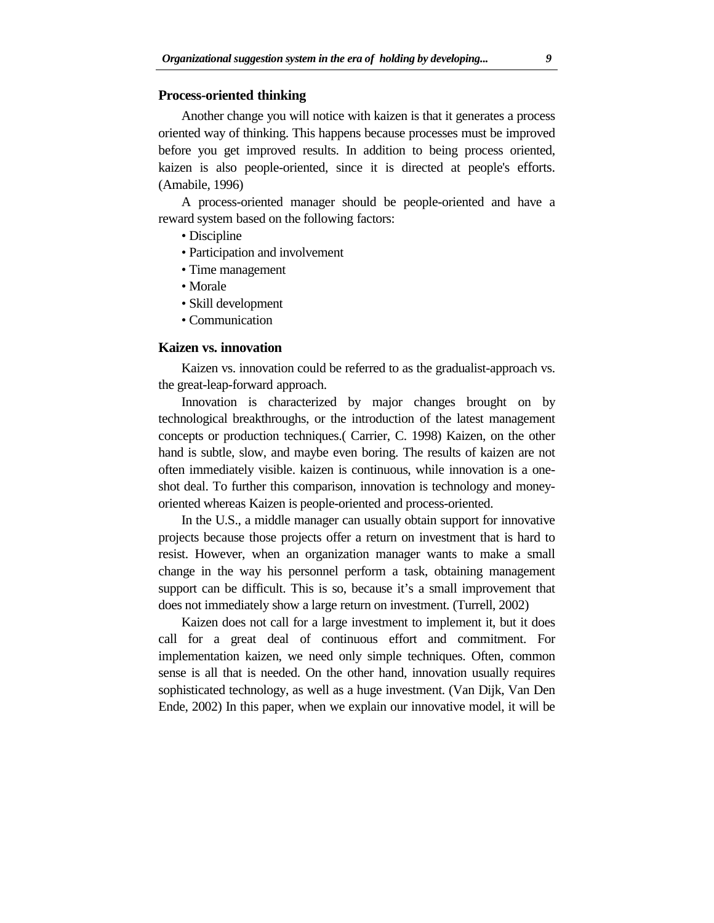# **Process-oriented thinking**

Another change you will notice with kaizen is that it generates a process oriented way of thinking. This happens because processes must be improved before you get improved results. In addition to being process oriented, kaizen is also people-oriented, since it is directed at people's efforts. (Amabile, 1996)

A process-oriented manager should be people-oriented and have a reward system based on the following factors:

- Discipline
- Participation and involvement
- Time management
- Morale
- Skill development
- Communication

#### **Kaizen vs. innovation**

Kaizen vs. innovation could be referred to as the gradualist-approach vs. the great-leap-forward approach.

Innovation is characterized by major changes brought on by technological breakthroughs, or the introduction of the latest management concepts or production techniques.( Carrier, C. 1998) Kaizen, on the other hand is subtle, slow, and maybe even boring. The results of kaizen are not often immediately visible. kaizen is continuous, while innovation is a oneshot deal. To further this comparison, innovation is technology and moneyoriented whereas Kaizen is people-oriented and process-oriented.

In the U.S., a middle manager can usually obtain support for innovative projects because those projects offer a return on investment that is hard to resist. However, when an organization manager wants to make a small change in the way his personnel perform a task, obtaining management support can be difficult. This is so, because it's a small improvement that does not immediately show a large return on investment. (Turrell, 2002)

Kaizen does not call for a large investment to implement it, but it does call for a great deal of continuous effort and commitment. For implementation kaizen, we need only simple techniques. Often, common sense is all that is needed. On the other hand, innovation usually requires sophisticated technology, as well as a huge investment. (Van Dijk, Van Den Ende, 2002) In this paper, when we explain our innovative model, it will be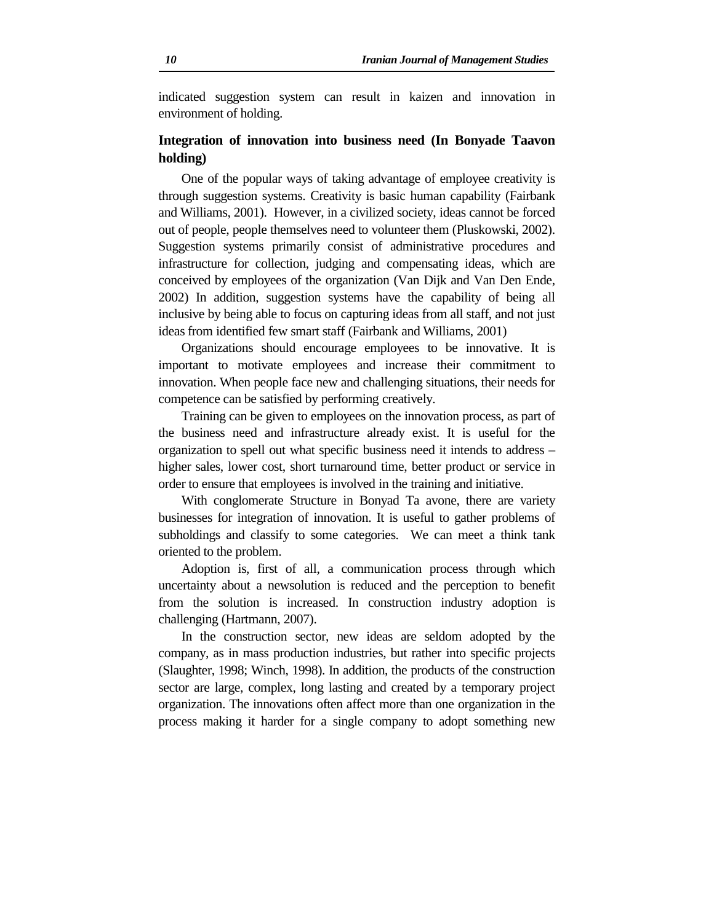indicated suggestion system can result in kaizen and innovation in environment of holding.

# **Integration of innovation into business need (In Bonyade Taavon holding)**

One of the popular ways of taking advantage of employee creativity is through suggestion systems. Creativity is basic human capability (Fairbank and Williams, 2001). However, in a civilized society, ideas cannot be forced out of people, people themselves need to volunteer them (Pluskowski, 2002). Suggestion systems primarily consist of administrative procedures and infrastructure for collection, judging and compensating ideas, which are conceived by employees of the organization (Van Dijk and Van Den Ende, 2002) In addition, suggestion systems have the capability of being all inclusive by being able to focus on capturing ideas from all staff, and not just ideas from identified few smart staff (Fairbank and Williams, 2001)

Organizations should encourage employees to be innovative. It is important to motivate employees and increase their commitment to innovation. When people face new and challenging situations, their needs for competence can be satisfied by performing creatively.

Training can be given to employees on the innovation process, as part of the business need and infrastructure already exist. It is useful for the organization to spell out what specific business need it intends to address – higher sales, lower cost, short turnaround time, better product or service in order to ensure that employees is involved in the training and initiative.

With conglomerate Structure in Bonyad Ta avone, there are variety businesses for integration of innovation. It is useful to gather problems of subholdings and classify to some categories. We can meet a think tank oriented to the problem.

Adoption is, first of all, a communication process through which uncertainty about a newsolution is reduced and the perception to benefit from the solution is increased. In construction industry adoption is challenging (Hartmann, 2007).

In the construction sector, new ideas are seldom adopted by the company, as in mass production industries, but rather into specific projects (Slaughter, 1998; Winch, 1998). In addition, the products of the construction sector are large, complex, long lasting and created by a temporary project organization. The innovations often affect more than one organization in the process making it harder for a single company to adopt something new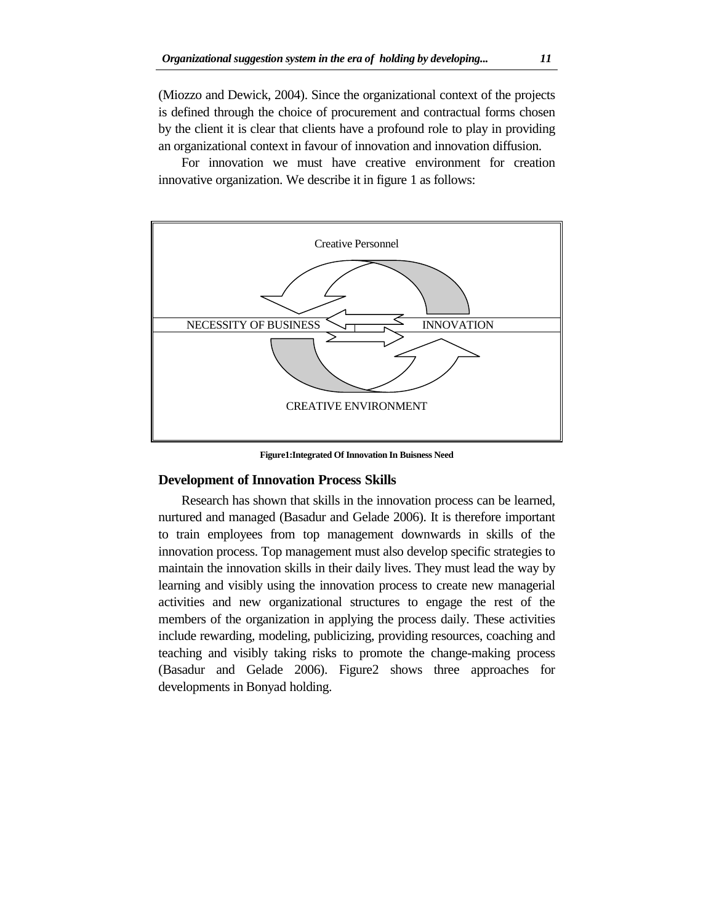(Miozzo and Dewick, 2004). Since the organizational context of the projects is defined through the choice of procurement and contractual forms chosen by the client it is clear that clients have a profound role to play in providing an organizational context in favour of innovation and innovation diffusion.

For innovation we must have creative environment for creation innovative organization. We describe it in figure 1 as follows:



**Figure1:Integrated Of Innovation In Buisness Need** 

## **Development of Innovation Process Skills**

Research has shown that skills in the innovation process can be learned, nurtured and managed (Basadur and Gelade 2006). It is therefore important to train employees from top management downwards in skills of the innovation process. Top management must also develop specific strategies to maintain the innovation skills in their daily lives. They must lead the way by learning and visibly using the innovation process to create new managerial activities and new organizational structures to engage the rest of the members of the organization in applying the process daily. These activities include rewarding, modeling, publicizing, providing resources, coaching and teaching and visibly taking risks to promote the change-making process (Basadur and Gelade 2006). Figure2 shows three approaches for developments in Bonyad holding.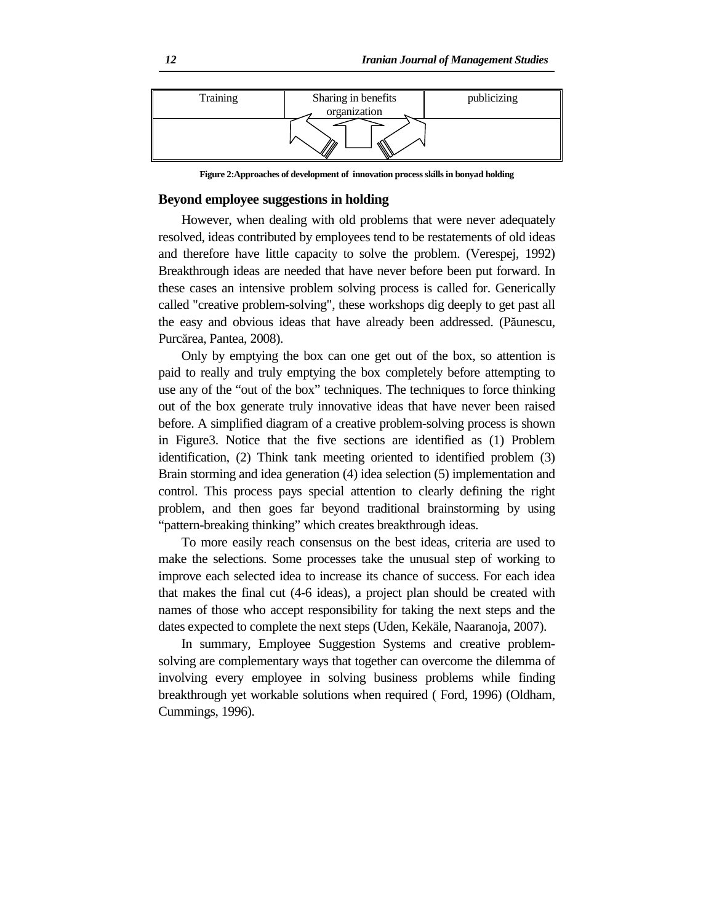

**Figure 2:Approaches of development of innovation process skills in bonyad holding** 

## **Beyond employee suggestions in holding**

However, when dealing with old problems that were never adequately resolved, ideas contributed by employees tend to be restatements of old ideas and therefore have little capacity to solve the problem. (Verespej, 1992) Breakthrough ideas are needed that have never before been put forward. In these cases an intensive problem solving process is called for. Generically called "creative problem-solving", these workshops dig deeply to get past all the easy and obvious ideas that have already been addressed. (Păunescu, Purcărea, Pantea, 2008).

Only by emptying the box can one get out of the box, so attention is paid to really and truly emptying the box completely before attempting to use any of the "out of the box" techniques. The techniques to force thinking out of the box generate truly innovative ideas that have never been raised before. A simplified diagram of a creative problem-solving process is shown in Figure3. Notice that the five sections are identified as (1) Problem identification, (2) Think tank meeting oriented to identified problem (3) Brain storming and idea generation (4) idea selection (5) implementation and control. This process pays special attention to clearly defining the right problem, and then goes far beyond traditional brainstorming by using "pattern-breaking thinking" which creates breakthrough ideas.

To more easily reach consensus on the best ideas, criteria are used to make the selections. Some processes take the unusual step of working to improve each selected idea to increase its chance of success. For each idea that makes the final cut (4-6 ideas), a project plan should be created with names of those who accept responsibility for taking the next steps and the dates expected to complete the next steps (Uden, Kekäle, Naaranoja, 2007).

In summary, Employee Suggestion Systems and creative problemsolving are complementary ways that together can overcome the dilemma of involving every employee in solving business problems while finding breakthrough yet workable solutions when required ( Ford, 1996) (Oldham, Cummings, 1996).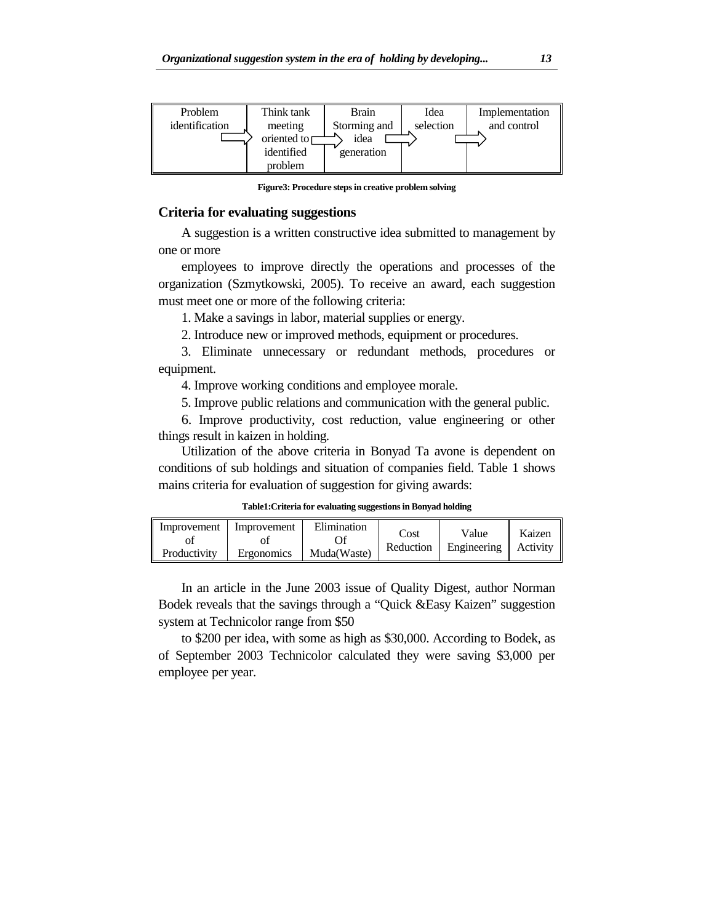

**Figure3: Procedure steps in creative problem solving** 

#### **Criteria for evaluating suggestions**

A suggestion is a written constructive idea submitted to management by one or more

employees to improve directly the operations and processes of the organization (Szmytkowski, 2005). To receive an award, each suggestion must meet one or more of the following criteria:

1. Make a savings in labor, material supplies or energy.

2. Introduce new or improved methods, equipment or procedures.

3. Eliminate unnecessary or redundant methods, procedures or equipment.

4. Improve working conditions and employee morale.

5. Improve public relations and communication with the general public.

6. Improve productivity, cost reduction, value engineering or other things result in kaizen in holding.

Utilization of the above criteria in Bonyad Ta avone is dependent on conditions of sub holdings and situation of companies field. Table 1 shows mains criteria for evaluation of suggestion for giving awards:

**Table1:Criteria for evaluating suggestions in Bonyad holding**

| Improvement  | Improvement | Elimination | Cost<br>Reduction | Value<br>Engineering | Kaizen<br>Activity |
|--------------|-------------|-------------|-------------------|----------------------|--------------------|
| Productivity | Ergonomics  | Muda(Waste) |                   |                      |                    |

In an article in the June 2003 issue of Quality Digest, author Norman Bodek reveals that the savings through a "Quick &Easy Kaizen" suggestion system at Technicolor range from \$50

to \$200 per idea, with some as high as \$30,000. According to Bodek, as of September 2003 Technicolor calculated they were saving \$3,000 per employee per year.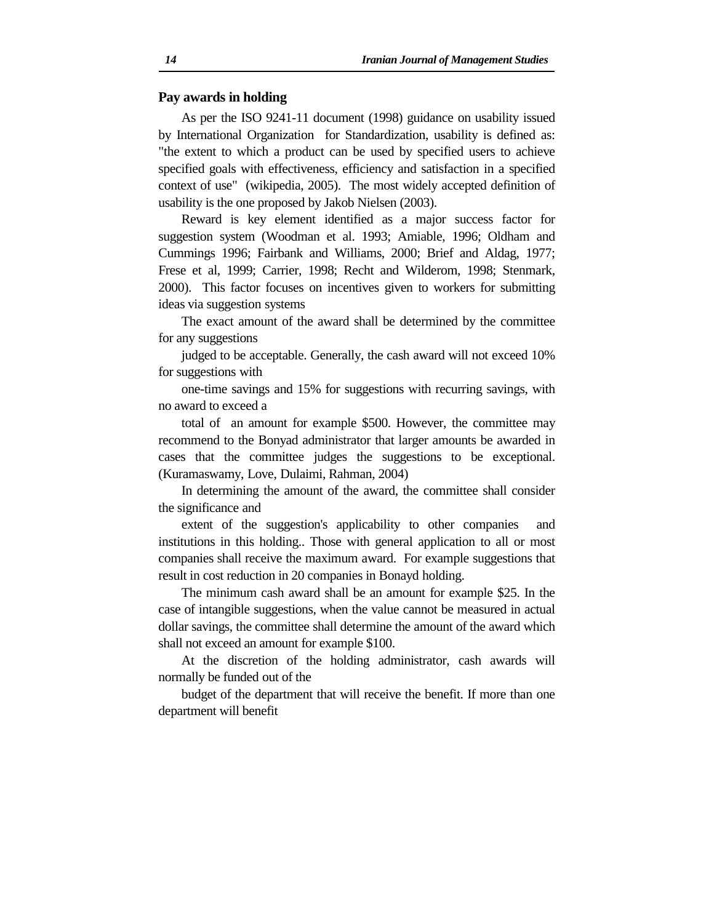#### **Pay awards in holding**

As per the ISO 9241-11 document (1998) guidance on usability issued by International Organization for Standardization, usability is defined as: "the extent to which a product can be used by specified users to achieve specified goals with effectiveness, efficiency and satisfaction in a specified context of use" (wikipedia, 2005). The most widely accepted definition of usability is the one proposed by Jakob Nielsen (2003).

Reward is key element identified as a major success factor for suggestion system (Woodman et al. 1993; Amiable, 1996; Oldham and Cummings 1996; Fairbank and Williams, 2000; Brief and Aldag, 1977; Frese et al, 1999; Carrier, 1998; Recht and Wilderom, 1998; Stenmark, 2000). This factor focuses on incentives given to workers for submitting ideas via suggestion systems

The exact amount of the award shall be determined by the committee for any suggestions

judged to be acceptable. Generally, the cash award will not exceed 10% for suggestions with

one-time savings and 15% for suggestions with recurring savings, with no award to exceed a

total of an amount for example \$500. However, the committee may recommend to the Bonyad administrator that larger amounts be awarded in cases that the committee judges the suggestions to be exceptional. (Kuramaswamy, Love, Dulaimi, Rahman, 2004)

In determining the amount of the award, the committee shall consider the significance and

extent of the suggestion's applicability to other companies and institutions in this holding.. Those with general application to all or most companies shall receive the maximum award. For example suggestions that result in cost reduction in 20 companies in Bonayd holding.

The minimum cash award shall be an amount for example \$25. In the case of intangible suggestions, when the value cannot be measured in actual dollar savings, the committee shall determine the amount of the award which shall not exceed an amount for example \$100.

At the discretion of the holding administrator, cash awards will normally be funded out of the

budget of the department that will receive the benefit. If more than one department will benefit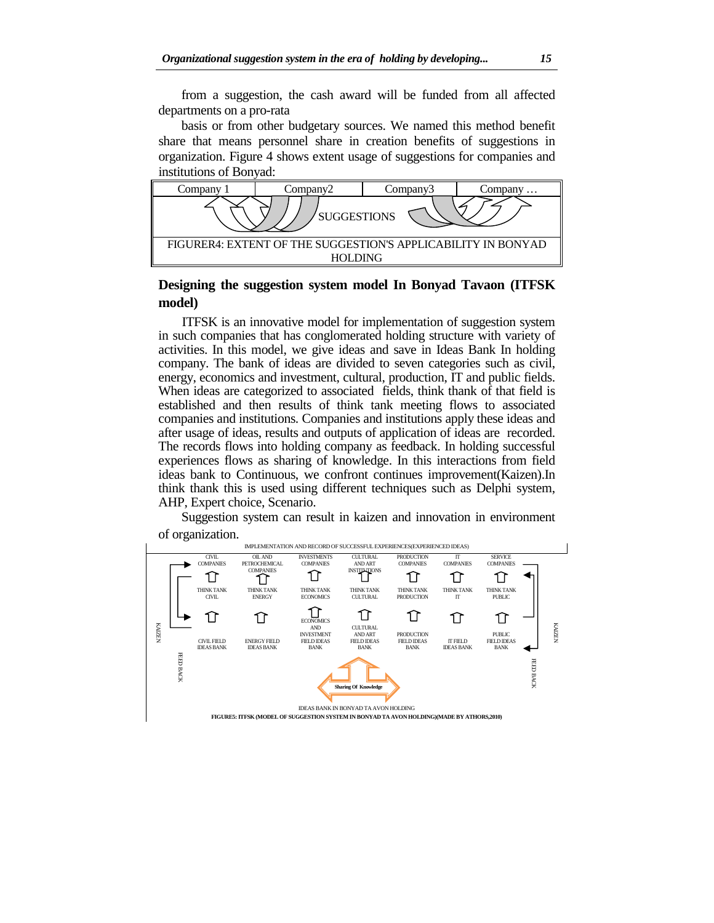from a suggestion, the cash award will be funded from all affected departments on a pro-rata

basis or from other budgetary sources. We named this method benefit share that means personnel share in creation benefits of suggestions in organization. Figure 4 shows extent usage of suggestions for companies and institutions of Bonyad:



# **Designing the suggestion system model In Bonyad Tavaon (ITFSK model)**

ITFSK is an innovative model for implementation of suggestion system in such companies that has conglomerated holding structure with variety of activities. In this model, we give ideas and save in Ideas Bank In holding company. The bank of ideas are divided to seven categories such as civil, energy, economics and investment, cultural, production, IT and public fields. When ideas are categorized to associated fields, think thank of that field is established and then results of think tank meeting flows to associated companies and institutions. Companies and institutions apply these ideas and after usage of ideas, results and outputs of application of ideas are recorded. The records flows into holding company as feedback. In holding successful experiences flows as sharing of knowledge. In this interactions from field ideas bank to Continuous, we confront continues improvement(Kaizen).In think thank this is used using different techniques such as Delphi system, AHP, Expert choice, Scenario.

Suggestion system can result in kaizen and innovation in environment of organization.

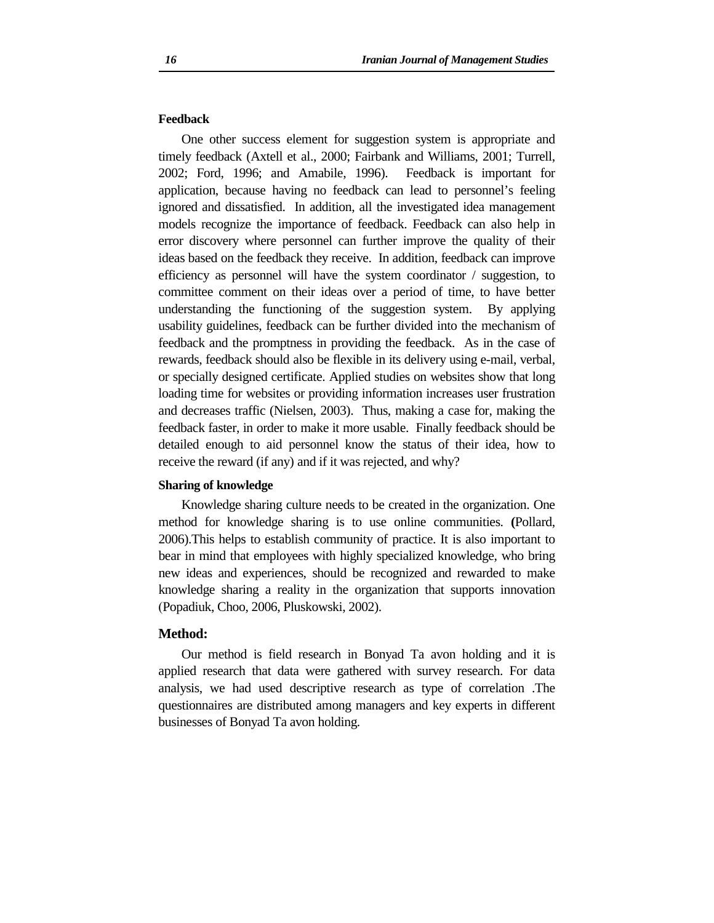#### **Feedback**

One other success element for suggestion system is appropriate and timely feedback (Axtell et al., 2000; Fairbank and Williams, 2001; Turrell, 2002; Ford, 1996; and Amabile, 1996). Feedback is important for application, because having no feedback can lead to personnel's feeling ignored and dissatisfied. In addition, all the investigated idea management models recognize the importance of feedback. Feedback can also help in error discovery where personnel can further improve the quality of their ideas based on the feedback they receive. In addition, feedback can improve efficiency as personnel will have the system coordinator / suggestion, to committee comment on their ideas over a period of time, to have better understanding the functioning of the suggestion system. By applying usability guidelines, feedback can be further divided into the mechanism of feedback and the promptness in providing the feedback. As in the case of rewards, feedback should also be flexible in its delivery using e-mail, verbal, or specially designed certificate. Applied studies on websites show that long loading time for websites or providing information increases user frustration and decreases traffic (Nielsen, 2003). Thus, making a case for, making the feedback faster, in order to make it more usable. Finally feedback should be detailed enough to aid personnel know the status of their idea, how to receive the reward (if any) and if it was rejected, and why?

#### **Sharing of knowledge**

Knowledge sharing culture needs to be created in the organization. One method for knowledge sharing is to use online communities. **(**Pollard, 2006).This helps to establish community of practice. It is also important to bear in mind that employees with highly specialized knowledge, who bring new ideas and experiences, should be recognized and rewarded to make knowledge sharing a reality in the organization that supports innovation (Popadiuk, Choo, 2006, Pluskowski, 2002).

## **Method:**

Our method is field research in Bonyad Ta avon holding and it is applied research that data were gathered with survey research. For data analysis, we had used descriptive research as type of correlation .The questionnaires are distributed among managers and key experts in different businesses of Bonyad Ta avon holding.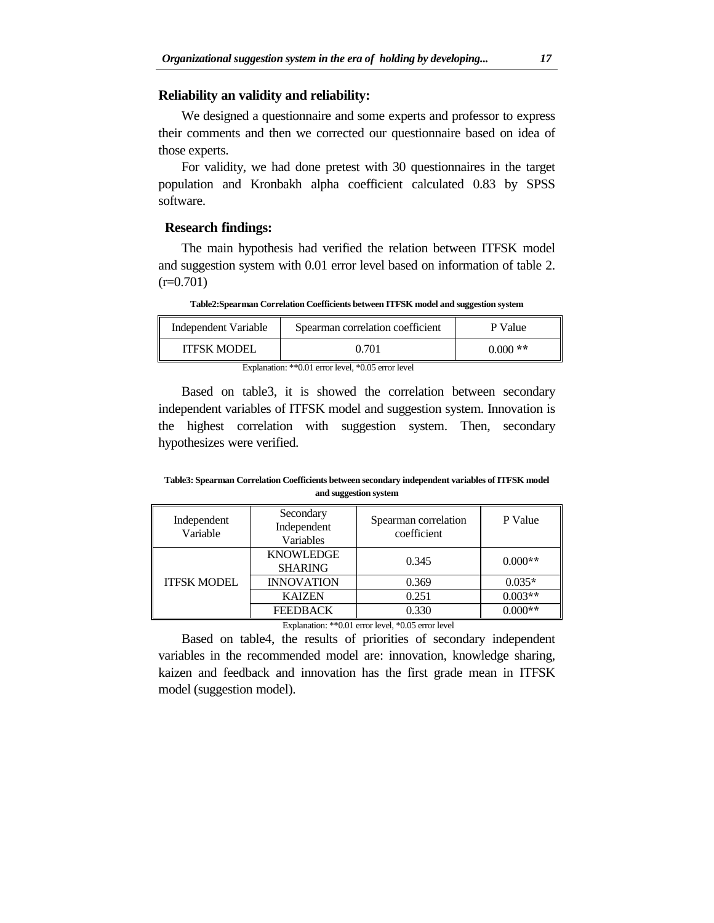#### **Reliability an validity and reliability:**

We designed a questionnaire and some experts and professor to express their comments and then we corrected our questionnaire based on idea of those experts.

For validity, we had done pretest with 30 questionnaires in the target population and Kronbakh alpha coefficient calculated 0.83 by SPSS software.

#### **Research findings:**

The main hypothesis had verified the relation between ITFSK model and suggestion system with 0.01 error level based on information of table 2.  $(r=0.701)$ 

**Table2:Spearman Correlation Coefficients between ITFSK model and suggestion system** 

| Independent Variable | Spearman correlation coefficient | P Value   |
|----------------------|----------------------------------|-----------|
| <b>ITESK MODEL</b>   | 0.701                            | $0.000**$ |

Explanation: \*\*0.01 error level, \*0.05 error level

Based on table3, it is showed the correlation between secondary independent variables of ITFSK model and suggestion system. Innovation is the highest correlation with suggestion system. Then, secondary hypothesizes were verified.

**Table3: Spearman Correlation Coefficients between secondary independent variables of ITFSK model and suggestion system** 

| Independent<br>Variable | Secondary<br>Independent<br>Variables | Spearman correlation<br>coefficient | P Value   |
|-------------------------|---------------------------------------|-------------------------------------|-----------|
| <b>ITFSK MODEL</b>      | <b>KNOWLEDGE</b><br><b>SHARING</b>    | 0.345                               | $0.000**$ |
|                         | <b>INNOVATION</b>                     | 0.369                               | $0.035*$  |
|                         | <b>KAIZEN</b>                         | 0.251                               | $0.003**$ |
|                         | <b>FEEDBACK</b>                       | 0.330                               | $0.000**$ |

Explanation: \*\*0.01 error level, \*0.05 error level

Based on table4, the results of priorities of secondary independent variables in the recommended model are: innovation, knowledge sharing, kaizen and feedback and innovation has the first grade mean in ITFSK model (suggestion model).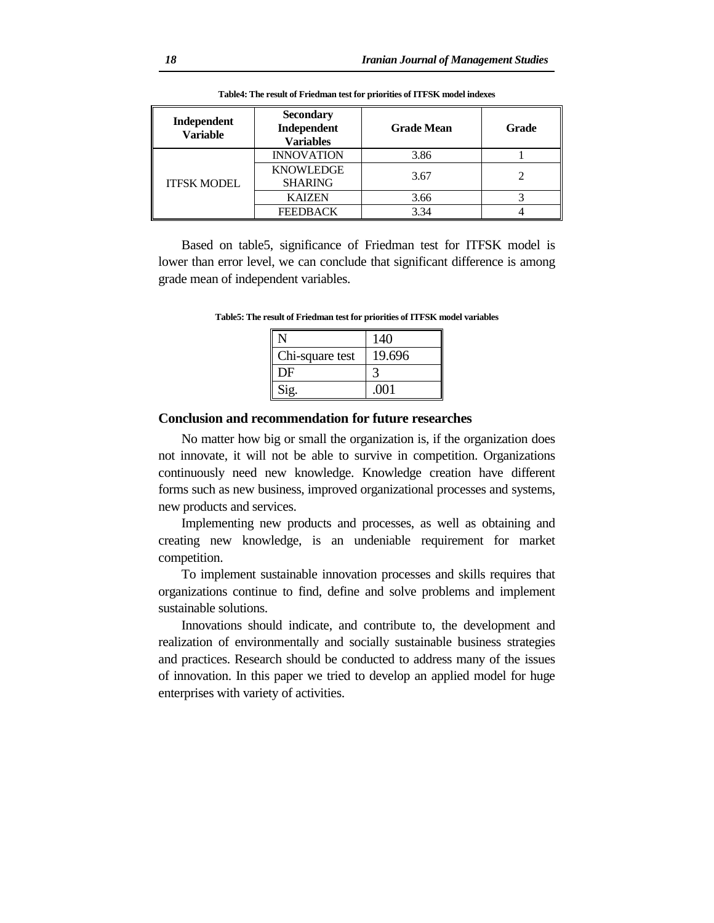| Independent<br><b>Variable</b> | <b>Secondary</b><br>Independent<br><b>Variables</b> | <b>Grade Mean</b> | <b>Grade</b> |
|--------------------------------|-----------------------------------------------------|-------------------|--------------|
| <b>ITFSK MODEL</b>             | <b>INNOVATION</b>                                   | 3.86              |              |
|                                | <b>KNOWLEDGE</b><br><b>SHARING</b>                  | 3.67              |              |
|                                | <b>KAIZEN</b>                                       | 3.66              |              |
|                                | <b>FEEDBACK</b>                                     | 3.34              |              |

**Table4: The result of Friedman test for priorities of ITFSK model indexes** 

Based on table5, significance of Friedman test for ITFSK model is lower than error level, we can conclude that significant difference is among grade mean of independent variables.

|                 | 140    |
|-----------------|--------|
| Chi-square test | 19.696 |
| DF              |        |
| Sig.            | .001   |

**Table5: The result of Friedman test for priorities of ITFSK model variables** 

#### **Conclusion and recommendation for future researches**

No matter how big or small the organization is, if the organization does not innovate, it will not be able to survive in competition. Organizations continuously need new knowledge. Knowledge creation have different forms such as new business, improved organizational processes and systems, new products and services.

Implementing new products and processes, as well as obtaining and creating new knowledge, is an undeniable requirement for market competition.

To implement sustainable innovation processes and skills requires that organizations continue to find, define and solve problems and implement sustainable solutions.

Innovations should indicate, and contribute to, the development and realization of environmentally and socially sustainable business strategies and practices. Research should be conducted to address many of the issues of innovation. In this paper we tried to develop an applied model for huge enterprises with variety of activities.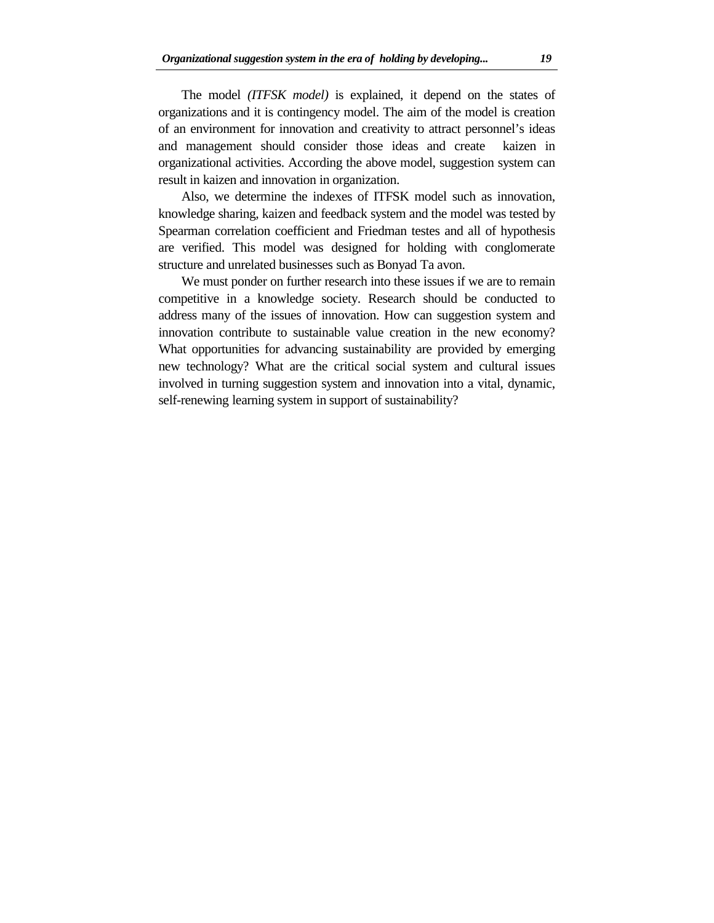The model *(ITFSK model)* is explained, it depend on the states of organizations and it is contingency model. The aim of the model is creation of an environment for innovation and creativity to attract personnel's ideas and management should consider those ideas and create kaizen in organizational activities. According the above model, suggestion system can result in kaizen and innovation in organization.

Also, we determine the indexes of ITFSK model such as innovation, knowledge sharing, kaizen and feedback system and the model was tested by Spearman correlation coefficient and Friedman testes and all of hypothesis are verified. This model was designed for holding with conglomerate structure and unrelated businesses such as Bonyad Ta avon.

We must ponder on further research into these issues if we are to remain competitive in a knowledge society. Research should be conducted to address many of the issues of innovation. How can suggestion system and innovation contribute to sustainable value creation in the new economy? What opportunities for advancing sustainability are provided by emerging new technology? What are the critical social system and cultural issues involved in turning suggestion system and innovation into a vital, dynamic, self-renewing learning system in support of sustainability?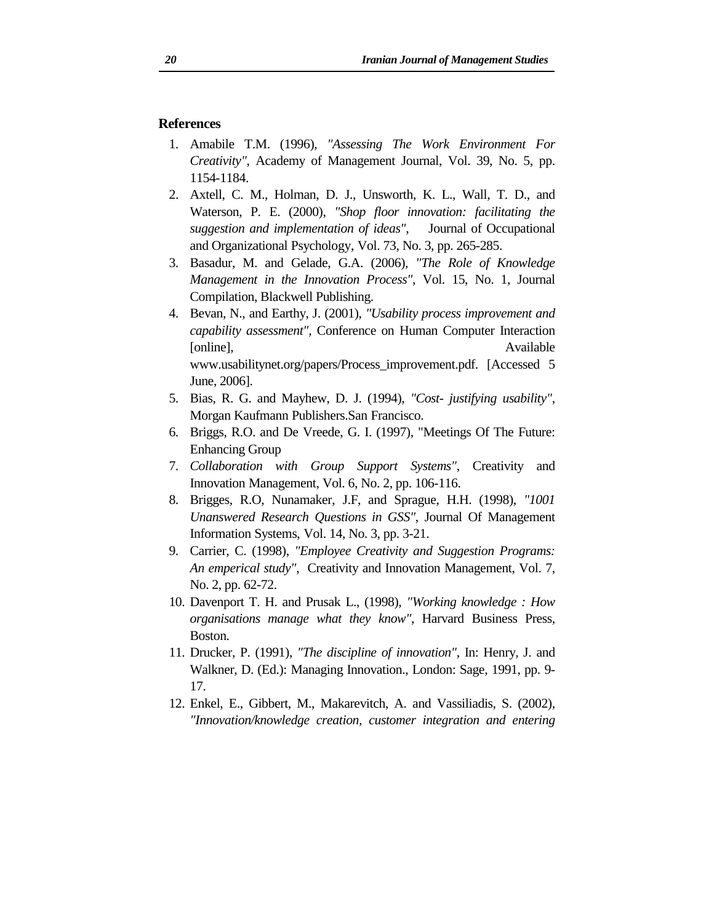## **References**

- 1. Amabile T.M. (1996), *"Assessing The Work Environment For Creativity"*, Academy of Management Journal, Vol. 39, No. 5, pp. 1154-1184.
- 2. Axtell, C. M., Holman, D. J., Unsworth, K. L., Wall, T. D., and Waterson, P. E. (2000), *"Shop floor innovation: facilitating the suggestion and implementation of ideas"*, Journal of Occupational and Organizational Psychology, Vol. 73, No. 3, pp. 265-285.
- 3. Basadur, M. and Gelade, G.A. (2006), *"The Role of Knowledge Management in the Innovation Process"*, Vol. 15, No. 1, Journal Compilation, Blackwell Publishing.
- 4. Bevan, N., and Earthy, J. (2001), *"Usability process improvement and capability assessment"*, Conference on Human Computer Interaction [online], Available www.usabilitynet.org/papers/Process\_improvement.pdf. [Accessed 5 June, 2006].
- 5. Bias, R. G. and Mayhew, D. J. (1994), *"Cost- justifying usability"*, Morgan Kaufmann Publishers.San Francisco.
- 6. Briggs, R.O. and De Vreede, G. I. (1997), "Meetings Of The Future: Enhancing Group
- 7. *Collaboration with Group Support Systems"*, Creativity and Innovation Management, Vol. 6, No. 2, pp. 106-116.
- 8. Brigges, R.O, Nunamaker, J.F, and Sprague, H.H. (1998), *"1001 Unanswered Research Questions in GSS"*, Journal Of Management Information Systems, Vol. 14, No. 3, pp. 3-21.
- 9. Carrier, C. (1998), *"Employee Creativity and Suggestion Programs: An emperical study"*, Creativity and Innovation Management, Vol. 7, No. 2, pp. 62-72.
- 10. Davenport T. H. and Prusak L., (1998), *"Working knowledge : How organisations manage what they know"*, Harvard Business Press, Boston.
- 11. Drucker, P. (1991), *"The discipline of innovation"*, In: Henry, J. and Walkner, D. (Ed.): Managing Innovation., London: Sage, 1991, pp. 9- 17.
- 12. Enkel, E., Gibbert, M., Makarevitch, A. and Vassiliadis, S. (2002), *"Innovation/knowledge creation, customer integration and entering*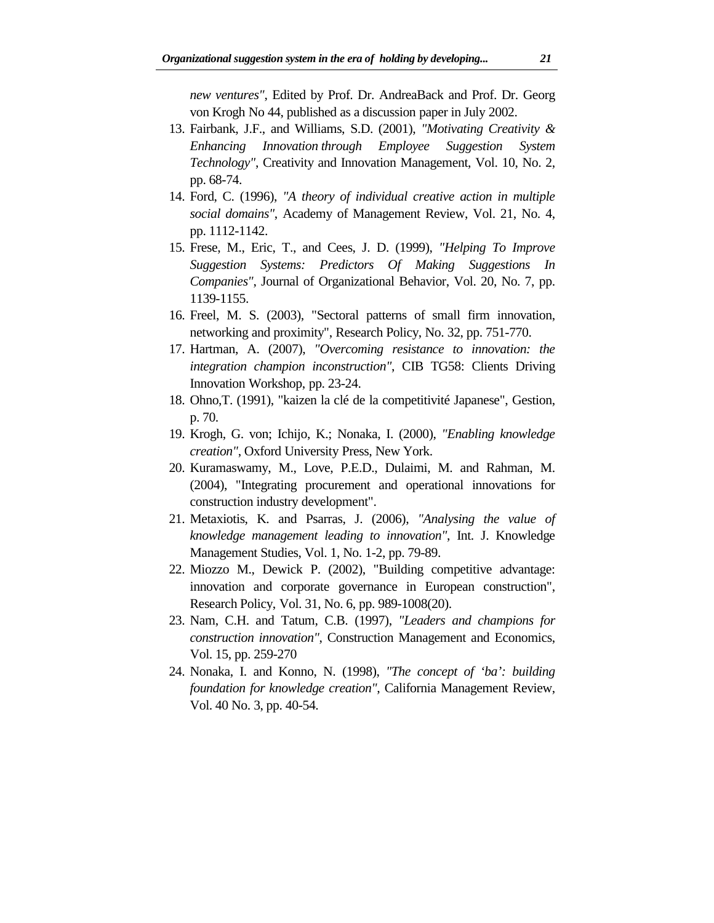*new ventures"*, Edited by Prof. Dr. AndreaBack and Prof. Dr. Georg von Krogh No 44, published as a discussion paper in July 2002.

- 13. Fairbank, J.F., and Williams, S.D. (2001), *"Motivating Creativity & Enhancing Innovation through Employee Suggestion System Technology"*, Creativity and Innovation Management, Vol. 10, No. 2, pp. 68-74.
- 14. Ford, C. (1996), *"A theory of individual creative action in multiple social domains"*, Academy of Management Review, Vol. 21, No. 4, pp. 1112-1142.
- 15. Frese, M., Eric, T., and Cees, J. D. (1999), *"Helping To Improve Suggestion Systems: Predictors Of Making Suggestions In Companies"*, Journal of Organizational Behavior, Vol. 20, No. 7, pp. 1139-1155.
- 16. Freel, M. S. (2003), "Sectoral patterns of small firm innovation, networking and proximity", Research Policy, No. 32, pp. 751-770.
- 17. Hartman, A. (2007), *"Overcoming resistance to innovation: the integration champion inconstruction"*, CIB TG58: Clients Driving Innovation Workshop, pp. 23-24.
- 18. Ohno,T. (1991), "kaizen la clé de la competitivité Japanese", Gestion, p. 70.
- 19. Krogh, G. von; Ichijo, K.; Nonaka, I. (2000), *"Enabling knowledge creation"*, Oxford University Press, New York.
- 20. Kuramaswamy, M., Love, P.E.D., Dulaimi, M. and Rahman, M. (2004), "Integrating procurement and operational innovations for construction industry development".
- 21. Metaxiotis, K. and Psarras, J. (2006), *"Analysing the value of knowledge management leading to innovation"*, Int. J. Knowledge Management Studies, Vol. 1, No. 1-2, pp. 79-89.
- 22. Miozzo M., Dewick P. (2002), "Building competitive advantage: innovation and corporate governance in European construction", Research Policy, Vol. 31, No. 6, pp. 989-1008(20).
- 23. Nam, C.H. and Tatum, C.B. (1997), *"Leaders and champions for construction innovation"*, Construction Management and Economics, Vol. 15, pp. 259-270
- 24. Nonaka, I. and Konno, N. (1998), *"The concept of 'ba': building foundation for knowledge creation"*, California Management Review, Vol. 40 No. 3, pp. 40-54.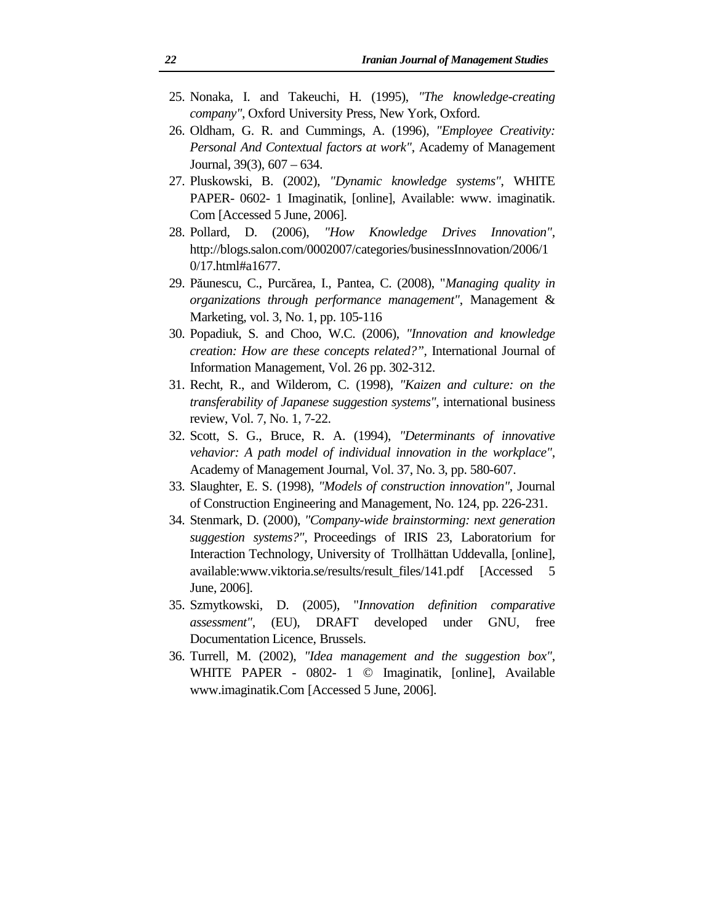- 25. Nonaka, I. and Takeuchi, H. (1995), *"The knowledge-creating company"*, Oxford University Press, New York, Oxford.
- 26. Oldham, G. R. and Cummings, A. (1996), *"Employee Creativity: Personal And Contextual factors at work"*, Academy of Management Journal, 39(3), 607 – 634.
- 27. Pluskowski, B. (2002), *"Dynamic knowledge systems"*, WHITE PAPER- 0602- 1 Imaginatik, [online], Available: www. imaginatik. Com [Accessed 5 June, 2006].
- 28. Pollard, D. (2006), *"How Knowledge Drives Innovation"*, http://blogs.salon.com/0002007/categories/businessInnovation/2006/1 0/17.html#a1677.
- 29. Păunescu, C., Purcărea, I., Pantea, C. (2008), "*Managing quality in organizations through performance management"*, Management & Marketing, vol. 3, No. 1, pp. 105-116
- 30. Popadiuk, S. and Choo, W.C. (2006), *"Innovation and knowledge creation: How are these concepts related?",* International Journal of Information Management, Vol. 26 pp. 302-312.
- 31. Recht, R., and Wilderom, C. (1998), *"Kaizen and culture: on the transferability of Japanese suggestion systems"*, international business review, Vol. 7, No. 1, 7-22.
- 32. Scott, S. G., Bruce, R. A. (1994), *"Determinants of innovative vehavior: A path model of individual innovation in the workplace"*, Academy of Management Journal, Vol. 37, No. 3, pp. 580-607.
- 33. Slaughter, E. S. (1998), *"Models of construction innovation"*, Journal of Construction Engineering and Management, No. 124, pp. 226-231.
- 34. Stenmark, D. (2000), *"Company-wide brainstorming: next generation suggestion systems?"*, Proceedings of IRIS 23, Laboratorium for Interaction Technology, University of Trollhättan Uddevalla, [online], available:www.viktoria.se/results/result\_files/141.pdf [Accessed 5 June, 2006].
- 35. Szmytkowski, D. (2005), "*Innovation definition comparative assessment"*, (EU), DRAFT developed under GNU, free Documentation Licence, Brussels.
- 36. Turrell, M. (2002), *"Idea management and the suggestion box"*, WHITE PAPER - 0802- 1 © Imaginatik, [online], Available www.imaginatik.Com [Accessed 5 June, 2006].